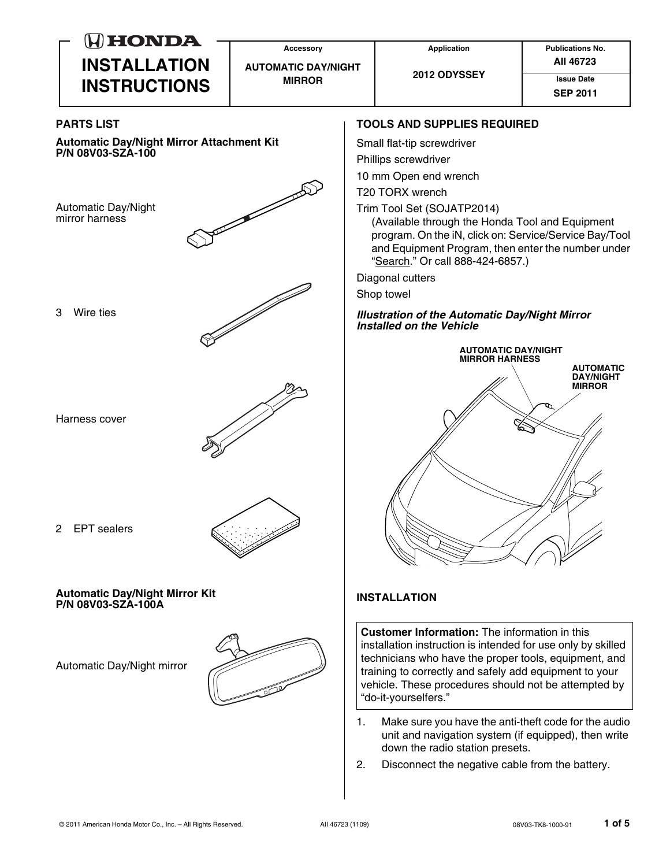| $(H)$ HONDA                                                           | <b>Accessory</b>                            | <b>Application</b>                                                                                                                                                                                                                                                                                                      | <b>Publications No.</b>                               |
|-----------------------------------------------------------------------|---------------------------------------------|-------------------------------------------------------------------------------------------------------------------------------------------------------------------------------------------------------------------------------------------------------------------------------------------------------------------------|-------------------------------------------------------|
| <b>INSTALLATION</b><br><b>INSTRUCTIONS</b>                            | <b>AUTOMATIC DAY/NIGHT</b><br><b>MIRROR</b> | 2012 ODYSSEY                                                                                                                                                                                                                                                                                                            | All 46723<br><b>Issue Date</b><br><b>SEP 2011</b>     |
| <b>PARTS LIST</b>                                                     |                                             | <b>TOOLS AND SUPPLIES REQUIRED</b>                                                                                                                                                                                                                                                                                      |                                                       |
| <b>Automatic Day/Night Mirror Attachment Kit</b><br>P/N 08V03-SZA-100 |                                             | Small flat-tip screwdriver<br>Phillips screwdriver<br>10 mm Open end wrench                                                                                                                                                                                                                                             |                                                       |
| Automatic Day/Night<br>mirror harness                                 |                                             | T20 TORX wrench<br>Trim Tool Set (SOJATP2014)<br>(Available through the Honda Tool and Equipment<br>program. On the iN, click on: Service/Service Bay/Tool<br>and Equipment Program, then enter the number under<br>"Search." Or call 888-424-6857.)                                                                    |                                                       |
|                                                                       |                                             | Diagonal cutters<br>Shop towel                                                                                                                                                                                                                                                                                          |                                                       |
| Wire ties<br>3                                                        |                                             | <b>Illustration of the Automatic Day/Night Mirror</b><br>Installed on the Vehicle                                                                                                                                                                                                                                       |                                                       |
|                                                                       |                                             | <b>AUTOMATIC DAY/NIGHT</b><br><b>MIRROR HARNESS</b>                                                                                                                                                                                                                                                                     |                                                       |
| Harness cover                                                         |                                             |                                                                                                                                                                                                                                                                                                                         | <b>AUTOMATIC</b><br><b>DAY/NIGHT</b><br><b>MIRROR</b> |
| <b>EPT</b> sealers<br>$\overline{2}$                                  |                                             |                                                                                                                                                                                                                                                                                                                         |                                                       |
| <b>Automatic Day/Night Mirror Kit</b><br>P/N 08V03-SZA-100A           |                                             | <b>INSTALLATION</b>                                                                                                                                                                                                                                                                                                     |                                                       |
| Automatic Day/Night mirror                                            |                                             | <b>Customer Information:</b> The information in this<br>installation instruction is intended for use only by skilled<br>technicians who have the proper tools, equipment, and<br>training to correctly and safely add equipment to your<br>vehicle. These procedures should not be attempted by<br>"do-it-yourselfers." |                                                       |
|                                                                       | 1.<br>2.                                    | Make sure you have the anti-theft code for the audio<br>unit and navigation system (if equipped), then write<br>down the radio station presets.<br>Disconnect the negative cable from the battery.                                                                                                                      |                                                       |
|                                                                       |                                             |                                                                                                                                                                                                                                                                                                                         |                                                       |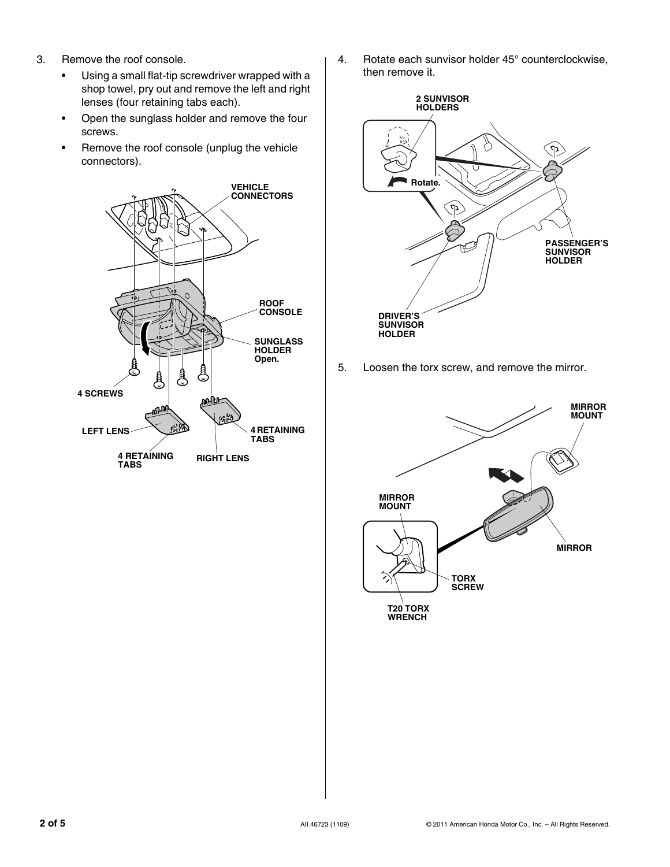- 3. Remove the roof console.
	- Using a small flat-tip screwdriver wrapped with a shop towel, pry out and remove the left and right lenses (four retaining tabs each).
	- Open the sunglass holder and remove the four screws.
	- Remove the roof console (unplug the vehicle connectors).



4. Rotate each sunvisor holder 45° counterclockwise, then remove it.



5. Loosen the torx screw, and remove the mirror.

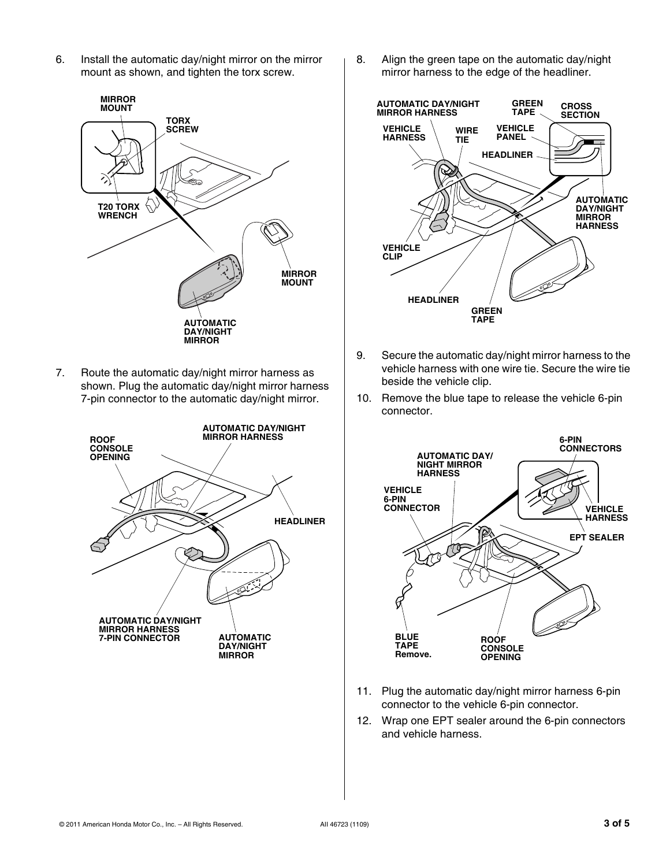6. Install the automatic day/night mirror on the mirror mount as shown, and tighten the torx screw.



7. Route the automatic day/night mirror harness as shown. Plug the automatic day/night mirror harness 7-pin connector to the automatic day/night mirror.



8. Align the green tape on the automatic day/night mirror harness to the edge of the headliner.



- 9. Secure the automatic day/night mirror harness to the vehicle harness with one wire tie. Secure the wire tie beside the vehicle clip.
- 10. Remove the blue tape to release the vehicle 6-pin connector.



- 11. Plug the automatic day/night mirror harness 6-pin connector to the vehicle 6-pin connector.
- 12. Wrap one EPT sealer around the 6-pin connectors and vehicle harness.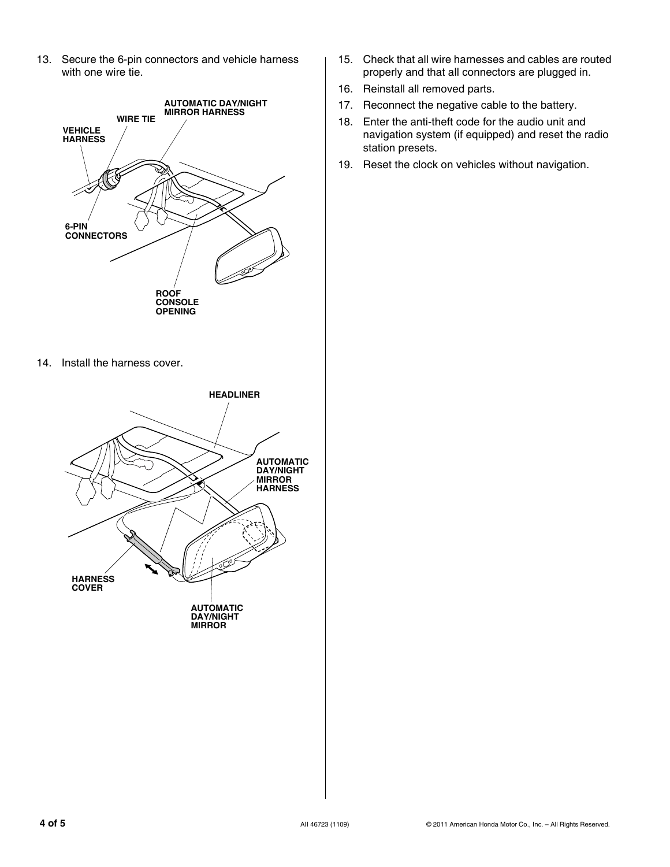13. Secure the 6-pin connectors and vehicle harness with one wire tie.



- 15. Check that all wire harnesses and cables are routed properly and that all connectors are plugged in.
- 16. Reinstall all removed parts.
- 17. Reconnect the negative cable to the battery.
- 18. Enter the anti-theft code for the audio unit and navigation system (if equipped) and reset the radio station presets.
- 19. Reset the clock on vehicles without navigation.